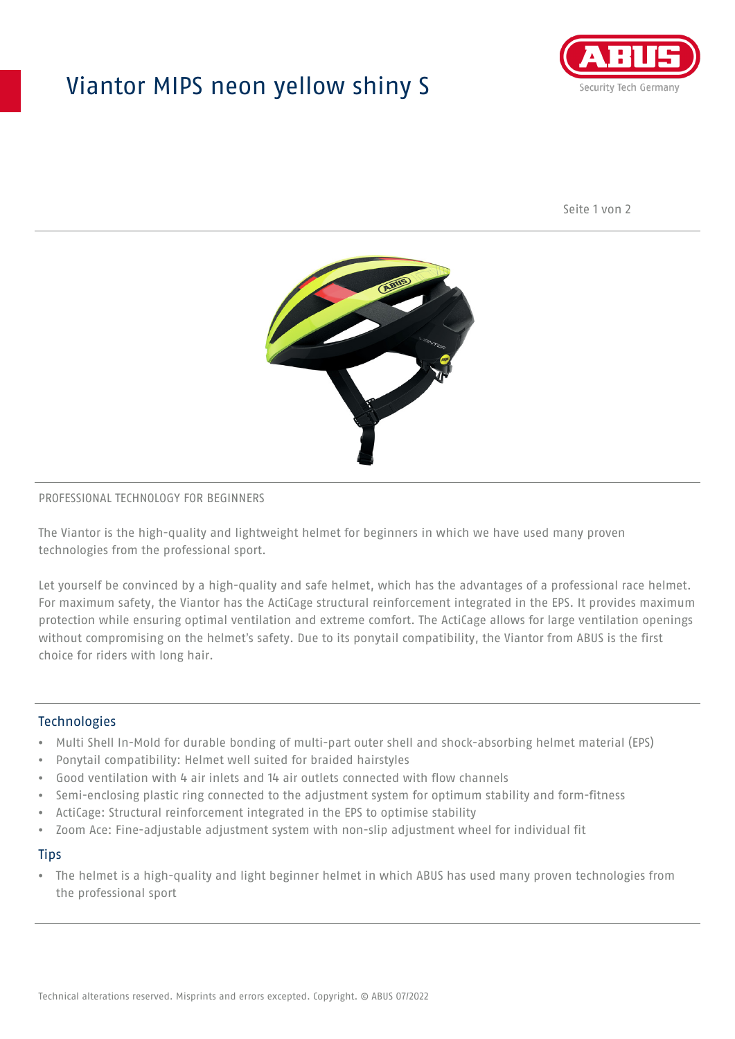# Viantor MIPS neon yellow shiny S



Seite 1 von 2



#### PROFESSIONAL TECHNOLOGY FOR BEGINNERS

The Viantor is the high-quality and lightweight helmet for beginners in which we have used many proven technologies from the professional sport.

Let yourself be convinced by a high-quality and safe helmet, which has the advantages of a professional race helmet. For maximum safety, the Viantor has the ActiCage structural reinforcement integrated in the EPS. It provides maximum protection while ensuring optimal ventilation and extreme comfort. The ActiCage allows for large ventilation openings without compromising on the helmet's safety. Due to its ponytail compatibility, the Viantor from ABUS is the first choice for riders with long hair.

### **Technologies**

- Multi Shell In-Mold for durable bonding of multi-part outer shell and shock-absorbing helmet material (EPS)
- Ponytail compatibility: Helmet well suited for braided hairstyles
- Good ventilation with 4 air inlets and 14 air outlets connected with flow channels
- Semi-enclosing plastic ring connected to the adjustment system for optimum stability and form-fitness
- ActiCage: Structural reinforcement integrated in the EPS to optimise stability
- Zoom Ace: Fine-adjustable adjustment system with non-slip adjustment wheel for individual fit

#### **Tips**

• The helmet is a high-quality and light beginner helmet in which ABUS has used many proven technologies from the professional sport